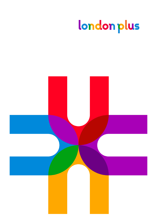# london plus

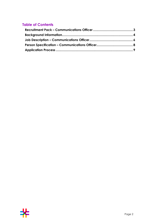# **Table of Contents**

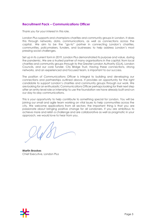## <span id="page-2-0"></span>**Recruitment Pack – Communications Officer**

Thank you for your interest in this role.

London Plus supports and champions charities and community groups in London. It does this through networks, data, communications, as well as connections across the capital. We aim to be the "go-to" partner in connecting London's charities, communities, policymakers, funders, and businesses; to help address London's most pressing social challenges.

Set up in its current form in 2019, London Plus demonstrated its purpose and value, during the pandemic. We are a trusted partner of many organisations in the capital; from local charities and community groups through to the Greater London Authority (GLA), London Councils, and our core funder, City Bridge Trust. Having these connections, strong networks, and an experienced and focused team, is important to our success.

The position of Communications Officer is integral to building and developing our connections and partnerships outlined above. It provides an opportunity for the right candidate to support London's charities and community groups through our work. We are looking for an enthusiastic Communications Officer perhaps looking for their next step after an entry-level role or internship to use the foundation we have already built and run our day-to-day communications.

This is your opportunity to help contribute to something special for London. You will be joining our small and agile team working on vital issues to help communities across the city. We welcome applications from all sectors; the important thing is that you are passionate about bringing positive change for all Londoners. If you are ambitious to achieve more and relish a challenge and are collaborative as well as pragmatic in your approach, we would love to hear from you.

**Martin Brookes** Chief Executive, London Plus

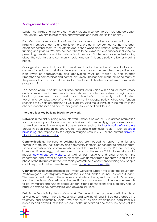## <span id="page-3-0"></span>**Background Information**

London Plus helps charities and community groups in London to do more and do better. Through this, we aim to help tackle disadvantage and inequality in the capital.

Part of our work is improving the information available to charities and community groups, helping them be effective and achieve more. We do this by connecting them to each other; supporting them to tell others about their work; and sharing information about funding and policies. We also connect them to policymakers and funders, including by presenting their views and information about their work. This helps improve understanding about the voluntary and community sector and can influence policy to better meet its needs.

Our agenda is important, and it is ambitious, to raise the profile of the voluntary and community sector and help it achieve even more. London's entrenched inequalities and high levels of disadvantage and deprivation must be tackled in part through strengthening communities and community voice. The pandemic has reminded many of the power of community and the pivotal role of formal charities and informal community groups in this.

To succeed we must be a visible, trusted, and influential voice within and for the voluntary and community sector. We must also be a reliable and effective partner for regional and local government, as well as London's community of funders. We sit in a complex web of charities, community groups, policymakers and funders spanning the whole of London. Our work requires us to make sense of this to maximise the chances for charities and community groups to succeed and flourish.

#### **There are four key building blocks to our work**

**Networks** is the first building block. Networks make it easier for us to gather information from, provide support to, and connect charities and community groups across London. Some of our networks are for specific organisations, such as for [local charity infrastructure](https://londonplus.org/cvs-and-volunteer-centres) groups in each London borough. Others address a particular topic – such as [social](https://londonplus.org/london-social-prescribing-network)  [prescribing,](https://londonplus.org/london-social-prescribing-network) the response to the Afghan refugee crisis in 2021, or the current arrival of [Ukrainian refugees in London.](https://londonplus.org/blog/ukraine-response-london-plus)

**Communications**, the second building block, are needed to support charities and community groups. The voluntary and community sector in London is large and disparate. Good information and communications need to flow to the sector. We are investing increasing time, energy, and resources into reaching the sector. This includes using social media, [newsletters,](https://londonplus.org/news/london-plus-april-2022-newsletter) [our website,](https://londonplus.org/) as well as our networks and other channels. The importance and power of communications was demonstrated recently during the first phase of the Ukraine crisis when we rapidly assembled a document outlining how people could help, and this became the most used [resource on our website.](https://londonplus.org/news/support-for-ukraine-crisis-london)

**Connections** is the third building block, which we use to support the sector across London. We have good links with policy makers in the GLA and London Councils, as well as funders. We have added further to these as we contribute to the agenda for London's recovery from the pandemic. Our networks give credibility to our voice and influence when we talk to policy makers and funders across London. Strong connections and credibility help us build understanding, partnerships, and develop solutions.

**Data** is the final building block of our work. Our networks help provide us with both hard as well as soft 'data'. There is less analysis and scrutiny of, and limited data about, the voluntary and community sector. We help plug this gap by gathering data from our networks and beyond. With this, we can better understand and serve the needs of the sector.

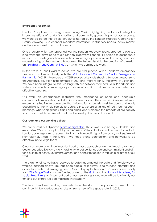#### **Emergency responses**

London Plus played an integral role during Covid, highlighting and coordinating the impressive efforts of London's charities and community groups. As part of our response, we were co-opted into official structures hosted by the London Strategic Coordination Group, allowing us to channel important information to statutory bodies, policy makers and funders as well as across the sector.

One structure which we supported was the London Recovery Board, created to oversee nine "missions" developed to aid London's recovery. London Plus helped to define these missions, advocating for charities and community groups, to increase the recognition and understanding of their value to Londoners. This helped lead to the creation of a mission on "[Building Strong Communities](https://www.london.gov.uk/coronavirus/londons-recovery-coronavirus-crisis/recovery-context/building-strong-communities)", on which we continue to work.

In the wake of our Covid response, we are well-placed within London's emergency structures, and work closely with the **Voluntary and Community Sector Emergencies** [Partnership](https://vcsep.org.uk/) (VCSEP). Members of VCSEP played a key role shaping London's response to the Afghan evacuation in the summer of 2021 and, more recently, the arrival of Ukrainians. We have been integral to this, working with our network members, VCSEP partners and wider charity and community groups to share information and create a coordinated and effective response.

Our work on emergencies highlights the importance of open and accessible communications in fast-paced situations across London. The core principles we follow to ensure an effective response are that information channels must be open and easily accessible to the whole sector. To achieve this, we use a variety of tools such as zoom meetings, WhatsApp groups, Slack and email, and welcome the breadth of civil society to join and contribute. We will continue to develop this area of our work.

#### **Our team and our working culture**

We are a small but dynamic [team of eight staff.](https://londonplus.org/about-london-plus) This allows us to be agile, flexible, and responsive. We can adapt quickly to the needs of the voluntary and community sector in London, or in response to requests for information and insights from policy makers. We will stay relatively small in the future – we need strong connections and networks to be effective, not a large team.

Clear communication is an important part of our approach as we must reach a range of audiences effectively. We work hard to try to get our language and comms right and aim for a culture of continuous improvement and honest reflection in this, as in all areas of our work.

The grant funding, we have received to date has enabled the agile and flexible way of working outlined above. This has been crucial as it allows us to respond promptly and adapt to events and emerging needs. Grants to pay for London Plus's work come mainly fro[m City Bridge Trust,](https://www.citybridgetrust.org.uk/) our core funder, as well as the [GLA,](https://www.london.gov.uk/) and the [National Academy for](https://socialprescribingacademy.org.uk/)  [Social Prescribing.](https://socialprescribingacademy.org.uk/) An important part of our new strategy and work will be to diversify our funding but ensure we can maintain this flexibility.

The team has been working remotely since the start of the pandemic. We plan to continue this but are looking to take on some new office space later in 2022.

<span id="page-4-0"></span>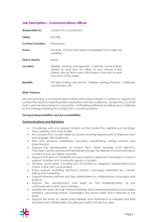## **Job Description – Communications Officer**

| Responsible to:           | London Plus Coordinator                                                                                                                                                                             |
|---------------------------|-----------------------------------------------------------------------------------------------------------------------------------------------------------------------------------------------------|
| Salary:                   | £27,040                                                                                                                                                                                             |
| <b>Contract Duration:</b> | Permanent                                                                                                                                                                                           |
| Hours:                    | Full-time, 35 hours per week (compressed hours might be<br>possible)                                                                                                                                |
| Direct reports:           | None                                                                                                                                                                                                |
| Location:                 | Flexible working arrangement. Currently home-based.<br>Option to work from an office of your choice in the<br>interim. Aim to find a new office later in the year to work<br>from part of the week. |
| <b>Benefits:</b>          | 25 days holiday per annum, Flexible working, Pension – Employer<br>contribution: 5%                                                                                                                 |

#### **Main Purpose:**

We are recruiting a communications officer with a keen interest in comms to support the London Plus team to build its profile and position with key audiences. London Plus is a small team, and we are looking for a proactive, multitasking individual to deliver and contribute to the strategic planning for London Plus's communications.

#### **Principal Responsibilities and Accountabilities:**

#### **Communications and Marketing**

- Coordinate, edit and upload content on the London Plus website such as blogs, news updates and case studies
- Run London Plus's social media accounts, ensuring regular posts to share our work and engage with audiences
- Plan and produce newsletters, including coordinating, writing content and dissemination
- Support the development of London Plus's three networks (CVS directors, Volunteer Centres and Social Prescribing) through the delivery of communications content across our digital channels
- Support and lead on materials and documents in response to emergency work to support charities and community groups in London
- Develop visual assets, including, but not limited to; diagrams, presentations and charts, in-line with our branding
- Event support, including technical support, managing attendee lists, minutetaking and marketing.
- Support external partners and key stakeholders on collaborative campaigns and projects
- Support the development and lead on the implementation of the communications plan and schedule
- Update the team through internal briefings and meetings reporting social media analytics, upcoming events, campaigns and sector news that is relevant to the team
- Support the team to create press releases and statements as needed and field enquiries from stakeholders including journalists and service users

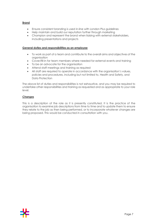#### **Brand**

- Ensure consistent branding is used in-line with London Plus guidelines
- Help maintain and build our reputation further through marketing
- Champion and represent the brand when liaising with external stakeholders, including presentations and projects

#### **General duties and responsibilities as an employee**

- To work as part of a team and contribute to the overall aims and objectives of the organisation
- Cover/fill-in for team members where needed for external events and training
- To be an advocate for the organisation
- Attend staff meetings and training as required
- All staff are required to operate in accordance with the organisation's values, policies and procedures, including but not limited to, Health and Safety, and Data Protection

The above list of duties and responsibilities is not exhaustive, and you may be required to undertake other responsibilities and training as requested and as appropriate to your role level.

#### **Changes**

This is a description of the role as it is presently constituted. It is the practice of the organisation to examine job descriptions from time to time and to update them to ensure they relate to the job as then being performed, or to incorporate whatever changes are being proposed. This would be conducted in consultation with you.

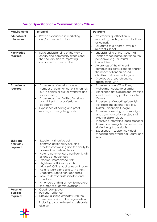# **Person Specification – Communications Officer**

<span id="page-7-0"></span>

| <b>Requirements</b>                        | <b>Essential</b>                                                                                                                                                                                                                                                                                                                                                                                                                                                                                                                                                                                                     | <b>Desirable</b>                                                                                                                                                                                                                                                                                                                                                                                                                                                                                                                                                                                                                     |
|--------------------------------------------|----------------------------------------------------------------------------------------------------------------------------------------------------------------------------------------------------------------------------------------------------------------------------------------------------------------------------------------------------------------------------------------------------------------------------------------------------------------------------------------------------------------------------------------------------------------------------------------------------------------------|--------------------------------------------------------------------------------------------------------------------------------------------------------------------------------------------------------------------------------------------------------------------------------------------------------------------------------------------------------------------------------------------------------------------------------------------------------------------------------------------------------------------------------------------------------------------------------------------------------------------------------------|
| <b>Educational</b><br>attainment           | Proven experience in marketing<br>and/or communications                                                                                                                                                                                                                                                                                                                                                                                                                                                                                                                                                              | Professional qualification in<br>marketing, media, communications<br>or journalism<br>Educated to a degree level in a<br>relevant subject                                                                                                                                                                                                                                                                                                                                                                                                                                                                                            |
| Knowledge<br>required                      | Basic understanding of the work of<br>charity and community groups and<br>their contribution to improving<br>outcomes for communities                                                                                                                                                                                                                                                                                                                                                                                                                                                                                | Understanding of the issues that<br>$\bullet$<br>London faces, particularly since the<br>pandemic. e.g. Structural<br>inequalities<br>Awareness of the different<br>communities across London and/or<br>the needs of London-based<br>charities and community groups<br>Knowledge of search engine<br>optimisation (SEO)                                                                                                                                                                                                                                                                                                              |
| <b>Experience</b><br>required              | Experience of working across a<br>$\bullet$<br>number of communications channels<br>but in particular digital (websites and<br>social media)<br>Experience using Twitter, Facebook<br>$\bullet$<br>and LinkedIn in a professional<br>capacity.<br>Experience of editing and proof<br>reading copy e.g. blog posts                                                                                                                                                                                                                                                                                                    | Experience using WordPress,<br>$\bullet$<br>Mailchimp, Hootsuite or similar<br>Experience developing and creating<br>$\bullet$<br>visual assets using platforms such as<br>Canva<br>Experience of reporting/identifying<br>key social media analytics, e.g.<br>Twitter, Facebook, Google<br>Experience working on campaigns<br>$\bullet$<br>and communications projects with<br>external stakeholders<br>Identifying interesting leads, stories or<br>$\bullet$<br>themes and using this to create news<br>stories/blogs/case studies<br>Experience in supporting virtual<br>$\bullet$<br>meetings and events e.g. Teams and<br>Zoom |
| <b>Skills and</b><br>aptitudes<br>required | Excellent written/verbal<br>$\bullet$<br>communication skills, including<br>creative copywriting and the ability to<br>present information clearly<br>Able to communicate confidently with<br>$\bullet$<br>a range of audiences<br>Excellent interpersonal skills<br>$\bullet$<br>High level of IT literacy such as<br>$\bullet$<br>Microsoft Office packages and zoom<br>Able to work alone and with others<br>$\bullet$<br>under pressure to tight deadlines.<br>Able to demonstrate initiative and<br>$\bullet$<br>creativity<br>An understanding of how to measure<br>$\bullet$<br>the impact of communications. |                                                                                                                                                                                                                                                                                                                                                                                                                                                                                                                                                                                                                                      |
| Personal<br>qualities<br>required          | Good team player<br>$\bullet$<br>Personal resilience<br>Displays a strong empathy with the<br>values and vision of the organisation,<br>including a commitment to celebrate<br>diversity.                                                                                                                                                                                                                                                                                                                                                                                                                            |                                                                                                                                                                                                                                                                                                                                                                                                                                                                                                                                                                                                                                      |